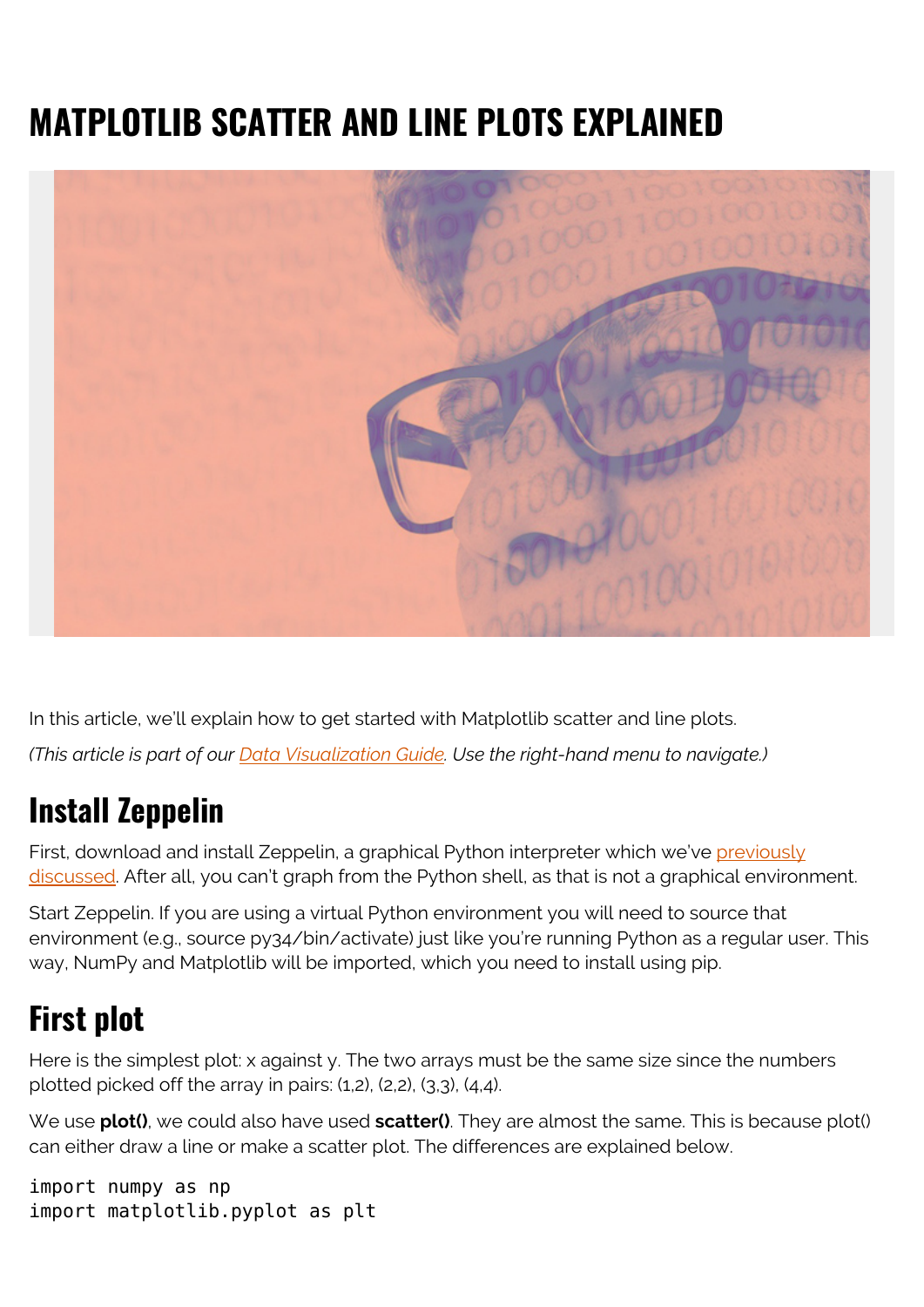## **MATPLOTLIB SCATTER AND LINE PLOTS EXPLAINED**



In this article, we'll explain how to get started with Matplotlib scatter and line plots. *(This article is part of our [Data Visualization Guide](https://blogs.bmc.com/blogs/data-visualization/). Use the right-hand menu to navigate.)*

## **Install Zeppelin**

First, download and install Zeppelin, a graphical Python interpreter which we've [previously](https://blogs.bmc.com/blogs/using-zeppelin-big-data/) [discussed.](https://blogs.bmc.com/blogs/using-zeppelin-big-data/) After all, you can't graph from the Python shell, as that is not a graphical environment.

Start Zeppelin. If you are using a virtual Python environment you will need to source that environment (e.g., source py34/bin/activate) just like you're running Python as a regular user. This way, NumPy and Matplotlib will be imported, which you need to install using pip.

## **First plot**

Here is the simplest plot: x against y. The two arrays must be the same size since the numbers plotted picked off the array in pairs: (1,2), (2,2), (3,3), (4,4).

We use **plot()**, we could also have used **scatter()**. They are almost the same. This is because plot() can either draw a line or make a scatter plot. The differences are explained below.

```
import numpy as np
import matplotlib.pyplot as plt
```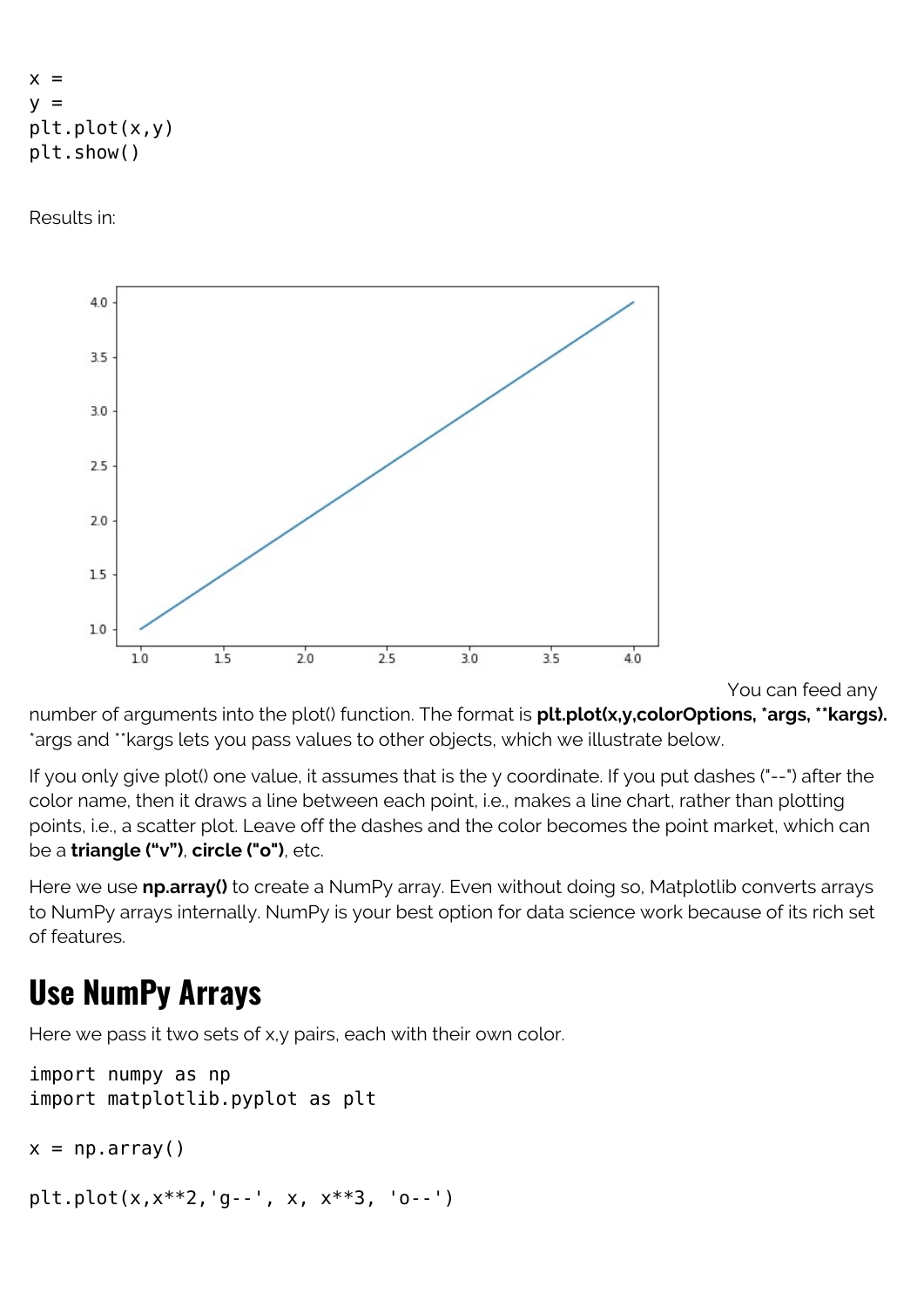```
x =V =plt.plot(x,y)
plt.show()
```
Results in:



You can feed any

number of arguments into the plot() function. The format is **plt.plot(x,y,colorOptions, \*args, \*\*kargs).** \*args and \*\*kargs lets you pass values to other objects, which we illustrate below.

If you only give plot() one value, it assumes that is the y coordinate. If you put dashes ("--") after the color name, then it draws a line between each point, i.e., makes a line chart, rather than plotting points, i.e., a scatter plot. Leave off the dashes and the color becomes the point market, which can be a **triangle ("v")**, **circle ("o")**, etc.

Here we use **np.array()** to create a NumPy array. Even without doing so, Matplotlib converts arrays to NumPy arrays internally. NumPy is your best option for data science work because of its rich set of features.

## **Use NumPy Arrays**

Here we pass it two sets of x,y pairs, each with their own color.

```
import numpy as np
import matplotlib.pyplot as plt
```

```
x = np.array()
```

```
plt.plot(x,x**2,'g--', x, x**3, 'o--')
```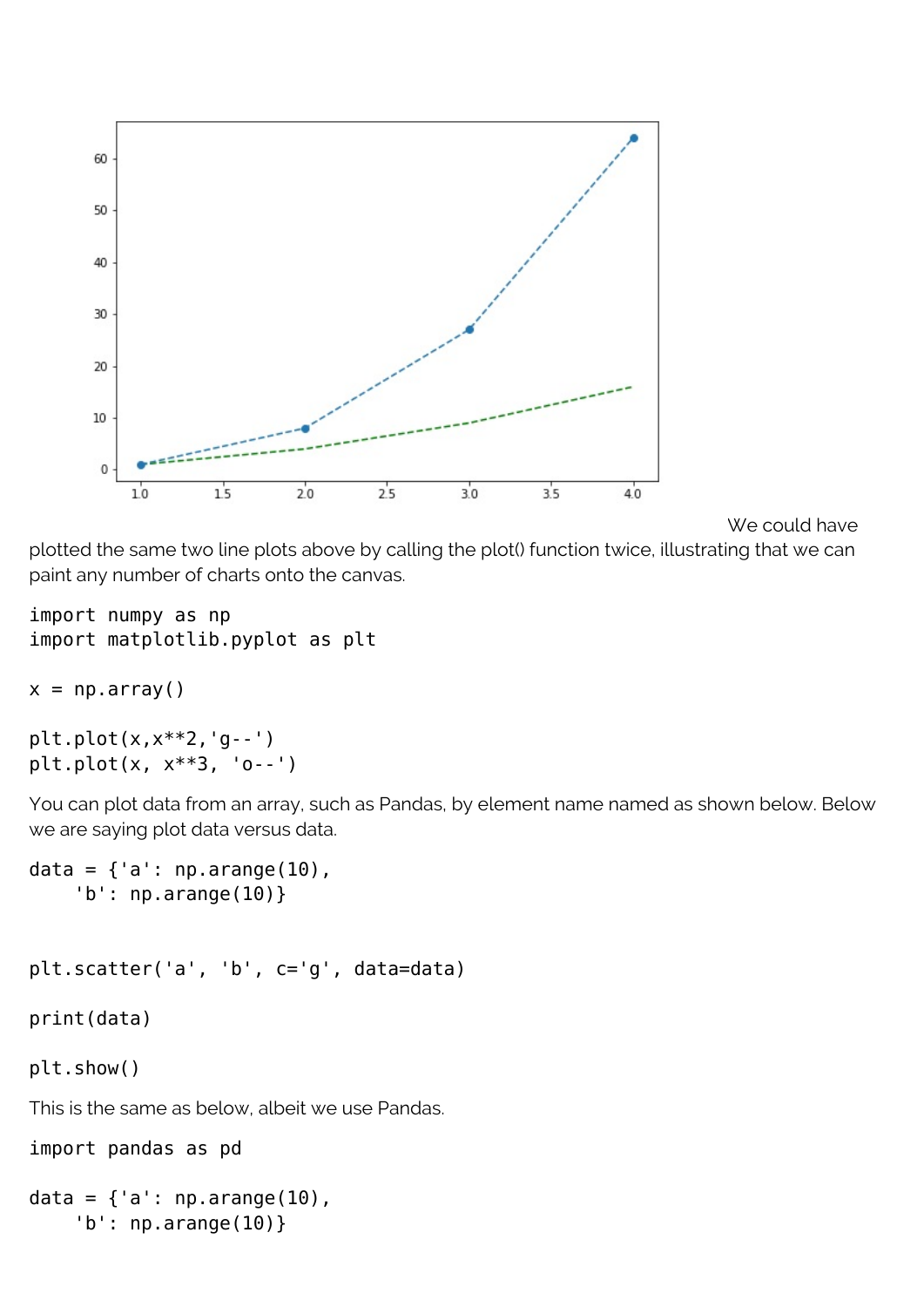

```
We could have
```
plotted the same two line plots above by calling the plot() function twice, illustrating that we can paint any number of charts onto the canvas.

```
import numpy as np
import matplotlib.pyplot as plt
```

```
x = np.array()
```

```
plt.plot(x,x**2,'g--')
plt.plot(x, x**3, 'o--')
```
You can plot data from an array, such as Pandas, by element name named as shown below. Below we are saying plot data versus data.

```
data = \{a': np.arange(10),\} 'b': np.arange(10)}
plt.scatter('a', 'b', c='g', data=data)
print(data)
plt.show()
This is the same as below, albeit we use Pandas.
import pandas as pd
data = \{a : np.arange(10),\}
```

```
 'b': np.arange(10)}
```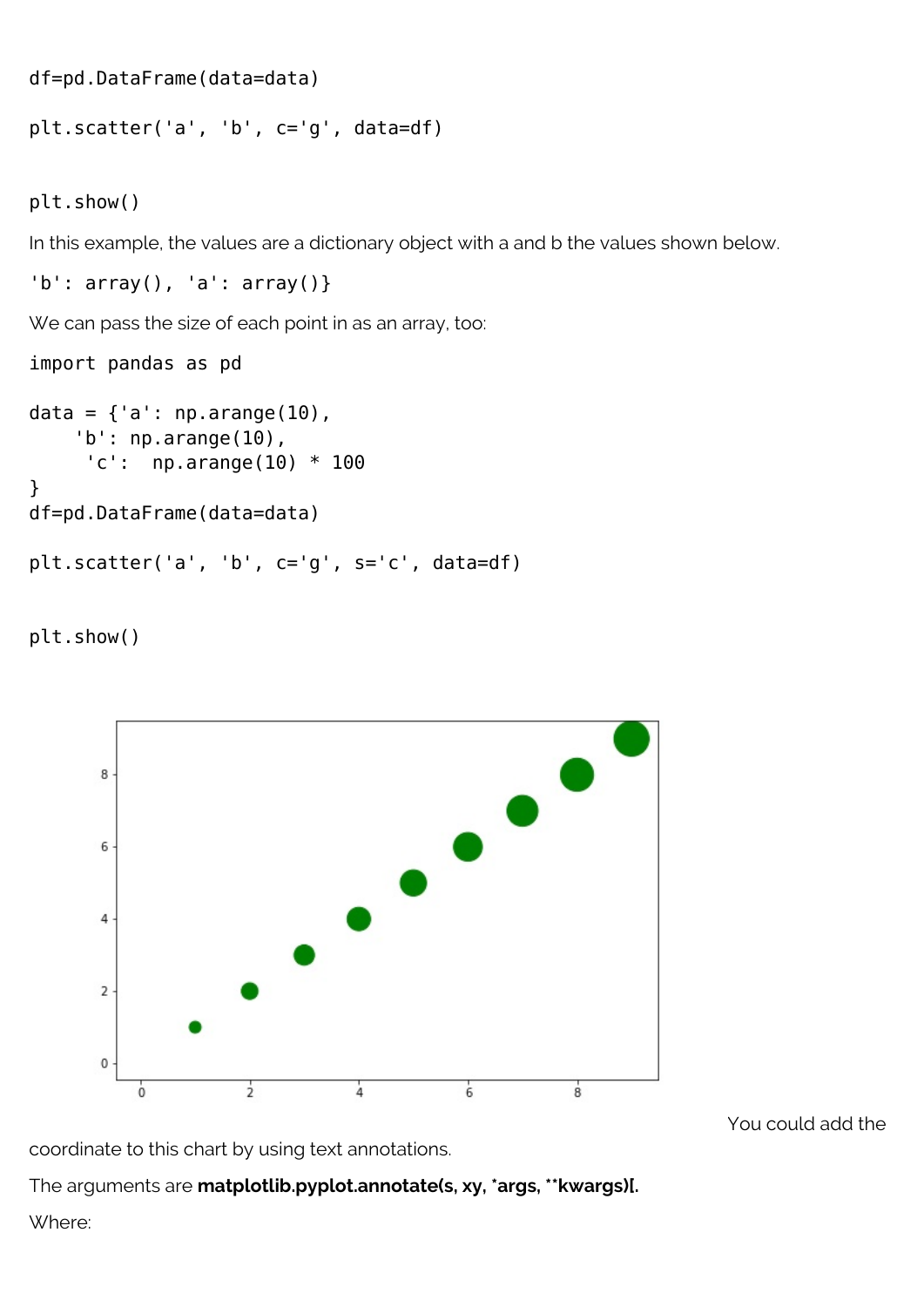df=pd.DataFrame(data=data)

plt.scatter('a', 'b', c='g', data=df)

plt.show()

In this example, the values are a dictionary object with a and b the values shown below.

 $'b'$ : array(), 'a': array()}

We can pass the size of each point in as an array, too:

import pandas as pd

```
data = \{a : np.arange(10),\}'b': np.arange(10),
      'c': np.arange(10) * 100
}
df=pd.DataFrame(data=data)
plt.scatter('a', 'b', c='g', s='c', data=df)
```
plt.show()



You could add the

coordinate to this chart by using text annotations.

The arguments are **matplotlib.pyplot.annotate(s, xy, \*args, \*\*kwargs)[.**

Where: